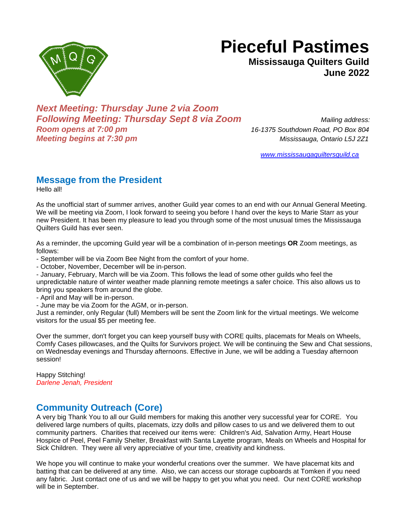

**Mississauga Quilters Guild June 2022**



*Next Meeting: Thursday June 2 via Zoom Following Meeting: Thursday Sept 8 via Zoom Mailing address: Room opens at 7:00 pm 16-1375 Southdown Road, PO Box 804 Meeting begins at 7:30 pm Mississauga, Ontario L5J 2Z1*

*[www.mississaugaquiltersguild.ca](http://www.mississaugaquiltersguild.ca/)*

# **Message from the President**

Hello all!

As the unofficial start of summer arrives, another Guild year comes to an end with our Annual General Meeting. We will be meeting via Zoom, I look forward to seeing you before I hand over the keys to Marie Starr as your new President. It has been my pleasure to lead you through some of the most unusual times the Mississauga Quilters Guild has ever seen.

As a reminder, the upcoming Guild year will be a combination of in-person meetings **OR** Zoom meetings, as follows:

- September will be via Zoom Bee Night from the comfort of your home.

- October, November, December will be in-person.

- January, February, March will be via Zoom. This follows the lead of some other guilds who feel the unpredictable nature of winter weather made planning remote meetings a safer choice. This also allows us to bring you speakers from around the globe.

- April and May will be in-person.

- June may be via Zoom for the AGM, or in-person.

Just a reminder, only Regular (full) Members will be sent the Zoom link for the virtual meetings. We welcome visitors for the usual \$5 per meeting fee.

Over the summer, don't forget you can keep yourself busy with CORE quilts, placemats for Meals on Wheels, Comfy Cases pillowcases, and the Quilts for Survivors project. We will be continuing the Sew and Chat sessions, on Wednesday evenings and Thursday afternoons. Effective in June, we will be adding a Tuesday afternoon session!

Happy Stitching! *Darlene Jenah, President*

# **Community Outreach (Core)**

A very big Thank You to all our Guild members for making this another very successful year for CORE. You delivered large numbers of quilts, placemats, izzy dolls and pillow cases to us and we delivered them to out community partners. Charities that received our items were: Children's Aid, Salvation Army, Heart House Hospice of Peel, Peel Family Shelter, Breakfast with Santa Layette program, Meals on Wheels and Hospital for Sick Children. They were all very appreciative of your time, creativity and kindness.

We hope you will continue to make your wonderful creations over the summer. We have placemat kits and batting that can be delivered at any time. Also, we can access our storage cupboards at Tomken if you need any fabric. Just contact one of us and we will be happy to get you what you need. Our next CORE workshop will be in September.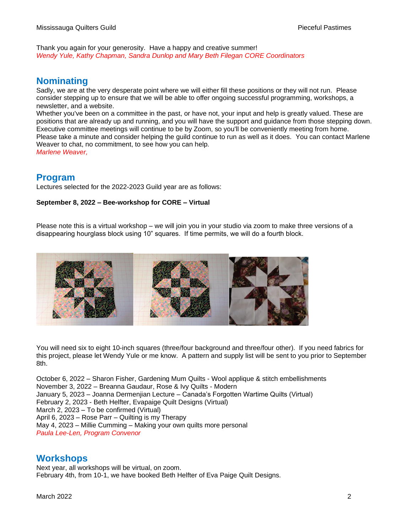Thank you again for your generosity. Have a happy and creative summer! *Wendy Yule, Kathy Chapman, Sandra Dunlop and Mary Beth Filegan CORE Coordinators*

### **Nominating**

Sadly, we are at the very desperate point where we will either fill these positions or they will not run. Please consider stepping up to ensure that we will be able to offer ongoing successful programming, workshops, a newsletter, and a website.

Whether you've been on a committee in the past, or have not, your input and help is greatly valued. These are positions that are already up and running, and you will have the support and guidance from those stepping down. Executive committee meetings will continue to be by Zoom, so you'll be conveniently meeting from home. Please take a minute and consider helping the guild continue to run as well as it does. You can contact Marlene Weaver to chat, no commitment, to see how you can help. *Marlene Weaver,*

**Program** 

Lectures selected for the 2022-2023 Guild year are as follows:

#### **September 8, 2022 – Bee-workshop for CORE – Virtual**

Please note this is a virtual workshop – we will join you in your studio via zoom to make three versions of a disappearing hourglass block using 10" squares. If time permits, we will do a fourth block.



You will need six to eight 10-inch squares (three/four background and three/four other). If you need fabrics for this project, please let Wendy Yule or me know. A pattern and supply list will be sent to you prior to September 8th.

October 6, 2022 – Sharon Fisher, Gardening Mum Quilts - Wool applique & stitch embellishments November 3, 2022 – Breanna Gaudaur, Rose & Ivy Quilts - Modern January 5, 2023 – Joanna Dermenjian Lecture – Canada's Forgotten Wartime Quilts (Virtual) February 2, 2023 - Beth Helfter, Evapaige Quilt Designs (Virtual) March 2, 2023 – To be confirmed (Virtual) April 6, 2023 – Rose Parr – Quilting is my Therapy May 4, 2023 – Millie Cumming – Making your own quilts more personal *Paula Lee-Len, Program Convenor* 

#### **Workshops**

Next year, all workshops will be virtual, on zoom. February 4th, from 10-1, we have booked Beth Helfter of Eva Paige Quilt Designs.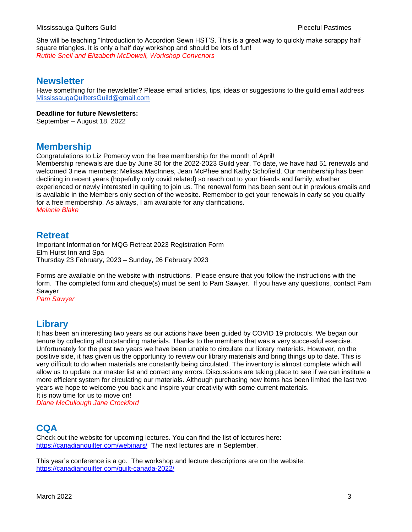She will be teaching "Introduction to Accordion Sewn HST'S. This is a great way to quickly make scrappy half square triangles. It is only a half day workshop and should be lots of fun! *Ruthie Snell and Elizabeth McDowell, Workshop Convenors* 

#### **Newsletter**

Have something for the newsletter? Please email articles, tips, ideas or suggestions to the guild email address [MississaugaQuiltersGuild@gmail.com](mailto:MississaugaQuiltersGuild@gmail.com)

#### **Deadline for future Newsletters:**

September – August 18, 2022

### **Membership**

Congratulations to Liz Pomeroy won the free membership for the month of April!

Membership renewals are due by June 30 for the 2022-2023 Guild year. To date, we have had 51 renewals and welcomed 3 new members: Melissa MacInnes, Jean McPhee and Kathy Schofield. Our membership has been declining in recent years (hopefully only covid related) so reach out to your friends and family, whether experienced or newly interested in quilting to join us. The renewal form has been sent out in previous emails and is available in the Members only section of the website. Remember to get your renewals in early so you qualify for a free membership. As always, I am available for any clarifications. *Melanie Blake*

#### **Retreat**

Important Information for MQG Retreat 2023 Registration Form Elm Hurst Inn and Spa Thursday 23 February, 2023 – Sunday, 26 February 2023

Forms are available on the website with instructions. Please ensure that you follow the instructions with the form. The completed form and cheque(s) must be sent to Pam Sawyer. If you have any questions, contact Pam Sawyer

*Pam Sawyer*

## **Library**

It has been an interesting two years as our actions have been guided by COVID 19 protocols. We began our tenure by collecting all outstanding materials. Thanks to the members that was a very successful exercise. Unfortunately for the past two years we have been unable to circulate our library materials. However, on the positive side, it has given us the opportunity to review our library materials and bring things up to date. This is very difficult to do when materials are constantly being circulated. The inventory is almost complete which will allow us to update our master list and correct any errors. Discussions are taking place to see if we can institute a more efficient system for circulating our materials. Although purchasing new items has been limited the last two years we hope to welcome you back and inspire your creativity with some current materials. It is now time for us to move on!

*Diane McCullough Jane Crockford*

### **CQA**

Check out the website for upcoming lectures. You can find the list of lectures here: <https://canadianquilter.com/webinars/> The next lectures are in September.

This year's conference is a go. The workshop and lecture descriptions are on the website: <https://canadianquilter.com/quilt-canada-2022/>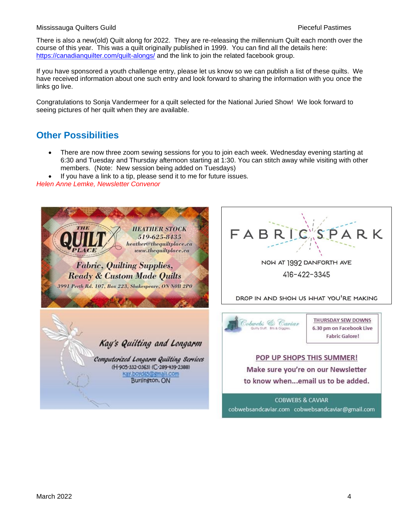#### Mississauga Quilters Guild Pieceful Pastimes

There is also a new(old) Quilt along for 2022. They are re-releasing the millennium Quilt each month over the course of this year. This was a quilt originally published in 1999. You can find all the details here: <https://canadianquilter.com/quilt-alongs/> and the link to join the related facebook group.

If you have sponsored a youth challenge entry, please let us know so we can publish a list of these quilts. We have received information about one such entry and look forward to sharing the information with you once the links go live.

Congratulations to Sonja Vandermeer for a quilt selected for the National Juried Show! We look forward to seeing pictures of her quilt when they are available.

### **Other Possibilities**

• There are now three zoom sewing sessions for you to join each week. Wednesday evening starting at 6:30 and Tuesday and Thursday afternoon starting at 1:30. You can stitch away while visiting with other members. (Note: New session being added on Tuesdays)

If you have a link to a tip, please send it to me for future issues.

*Helen Anne Lemke, Newsletter Convenor*

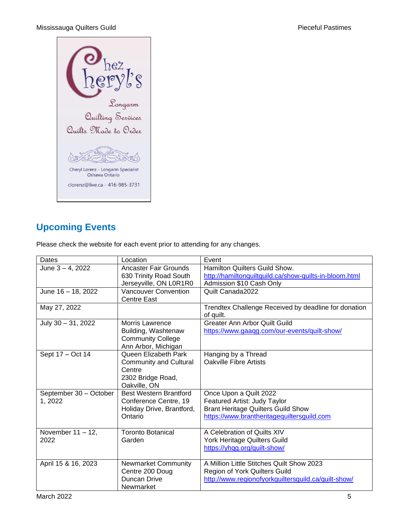Mississauga Quilters Guild **Pieceful Pastimes Pieceful Pastimes** 



# **Upcoming Events**

Please check the website for each event prior to attending for any changes.

| Dates                  | Location                      | Event                                                  |
|------------------------|-------------------------------|--------------------------------------------------------|
| June 3 - 4, 2022       | Ancaster Fair Grounds         | Hamilton Quilters Guild Show.                          |
|                        | 630 Trinity Road South        | http://hamiltonquiltguild.ca/show-quilts-in-bloom.html |
|                        | Jerseyville, ON L0R1R0        | Admission \$10 Cash Only                               |
| June 16 - 18, 2022     | <b>Vancouver Convention</b>   | Quilt Canada2022                                       |
|                        | <b>Centre East</b>            |                                                        |
| May 27, 2022           |                               | Trendtex Challenge Received by deadline for donation   |
|                        |                               | of quilt.                                              |
| July 30 - 31, 2022     | <b>Morris Lawrence</b>        | <b>Greater Ann Arbor Quilt Guild</b>                   |
|                        | Building, Washtenaw           | https://www.gaagg.com/our-events/quilt-show/           |
|                        | <b>Community College</b>      |                                                        |
|                        | Ann Arbor, Michigan           |                                                        |
| Sept 17 - Oct 14       | Queen Elizabeth Park          | Hanging by a Thread                                    |
|                        | <b>Community and Cultural</b> | Oakville Fibre Artists                                 |
|                        | Centre                        |                                                        |
|                        | 2302 Bridge Road,             |                                                        |
|                        | Oakville, ON                  |                                                        |
| September 30 - October | <b>Best Western Brantford</b> | Once Upon a Quilt 2022                                 |
| 1, 2022                | Conference Centre, 19         | Featured Artist: Judy Taylor                           |
|                        | Holiday Drive, Brantford,     | <b>Brant Heritage Quilters Guild Show</b>              |
|                        | Ontario                       | https://www.brantheritagequiltersguild.com             |
|                        |                               |                                                        |
| November $11 - 12$ ,   | <b>Toronto Botanical</b>      | A Celebration of Quilts XIV                            |
| 2022                   | Garden                        | York Heritage Quilters Guild                           |
|                        |                               | https://yhgg.org/guilt-show/                           |
|                        |                               |                                                        |
| April 15 & 16, 2023    | <b>Newmarket Community</b>    | A Million Little Stitches Quilt Show 2023              |
|                        | Centre 200 Doug               | Region of York Quilters Guild                          |
|                        | Duncan Drive                  | http://www.regionofyorkquiltersquild.ca/quilt-show/    |
|                        | Newmarket                     |                                                        |